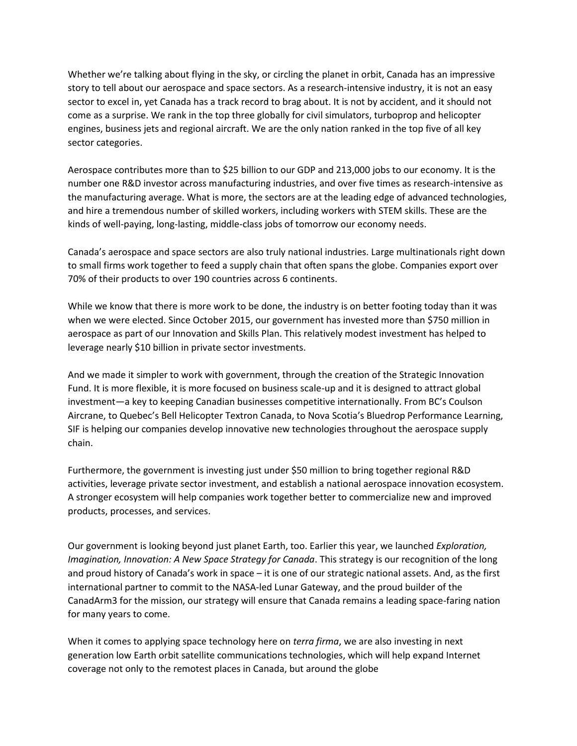Whether we're talking about flying in the sky, or circling the planet in orbit, Canada has an impressive story to tell about our aerospace and space sectors. As a research-intensive industry, it is not an easy sector to excel in, yet Canada has a track record to brag about. It is not by accident, and it should not come as a surprise. We rank in the top three globally for civil simulators, turboprop and helicopter engines, business jets and regional aircraft. We are the only nation ranked in the top five of all key sector categories.

Aerospace contributes more than to \$25 billion to our GDP and 213,000 jobs to our economy. It is the number one R&D investor across manufacturing industries, and over five times as research-intensive as the manufacturing average. What is more, the sectors are at the leading edge of advanced technologies, and hire a tremendous number of skilled workers, including workers with STEM skills. These are the kinds of well-paying, long-lasting, middle-class jobs of tomorrow our economy needs.

Canada's aerospace and space sectors are also truly national industries. Large multinationals right down to small firms work together to feed a supply chain that often spans the globe. Companies export over 70% of their products to over 190 countries across 6 continents.

While we know that there is more work to be done, the industry is on better footing today than it was when we were elected. Since October 2015, our government has invested more than \$750 million in aerospace as part of our Innovation and Skills Plan. This relatively modest investment has helped to leverage nearly \$10 billion in private sector investments.

And we made it simpler to work with government, through the creation of the Strategic Innovation Fund. It is more flexible, it is more focused on business scale-up and it is designed to attract global investment—a key to keeping Canadian businesses competitive internationally. From BC's Coulson Aircrane, to Quebec's Bell Helicopter Textron Canada, to Nova Scotia's Bluedrop Performance Learning, SIF is helping our companies develop innovative new technologies throughout the aerospace supply chain.

Furthermore, the government is investing just under \$50 million to bring together regional R&D activities, leverage private sector investment, and establish a national aerospace innovation ecosystem. A stronger ecosystem will help companies work together better to commercialize new and improved products, processes, and services.

Our government is looking beyond just planet Earth, too. Earlier this year, we launched *Exploration, Imagination, Innovation: A New Space Strategy for Canada*. This strategy is our recognition of the long and proud history of Canada's work in space – it is one of our strategic national assets. And, as the first international partner to commit to the NASA-led Lunar Gateway, and the proud builder of the CanadArm3 for the mission, our strategy will ensure that Canada remains a leading space-faring nation for many years to come.

When it comes to applying space technology here on *terra firma*, we are also investing in next generation low Earth orbit satellite communications technologies, which will help expand Internet coverage not only to the remotest places in Canada, but around the globe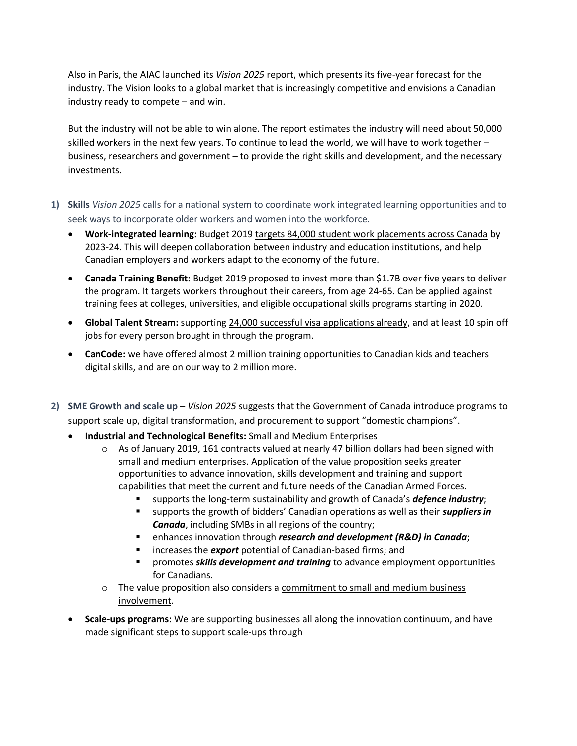Also in Paris, the AIAC launched its *Vision 2025* report, which presents its five-year forecast for the industry. The Vision looks to a global market that is increasingly competitive and envisions a Canadian industry ready to compete – and win.

But the industry will not be able to win alone. The report estimates the industry will need about 50,000 skilled workers in the next few years. To continue to lead the world, we will have to work together – business, researchers and government – to provide the right skills and development, and the necessary investments.

- **1) Skills** *Vision 2025* calls for a national system to coordinate work integrated learning opportunities and to seek ways to incorporate older workers and women into the workforce.
	- **Work-integrated learning:** Budget 2019 targets 84,000 student work placements across Canada by 2023-24. This will deepen collaboration between industry and education institutions, and help Canadian employers and workers adapt to the economy of the future.
	- **Canada Training Benefit:** Budget 2019 proposed to invest more than \$1.7B over five years to deliver the program. It targets workers throughout their careers, from age 24-65. Can be applied against training fees at colleges, universities, and eligible occupational skills programs starting in 2020.
	- **Global Talent Stream:** supporting 24,000 successful visa applications already, and at least 10 spin off jobs for every person brought in through the program.
	- **CanCode:** we have offered almost 2 million training opportunities to Canadian kids and teachers digital skills, and are on our way to 2 million more.
- **2) SME Growth and scale up** *Vision 2025* suggests that the Government of Canada introduce programs to support scale up, digital transformation, and procurement to support "domestic champions".
	- **Industrial and Technological Benefits:** Small and Medium Enterprises
		- $\circ$  As of January 2019, 161 contracts valued at nearly 47 billion dollars had been signed with small and medium enterprises. Application of the value proposition seeks greater opportunities to advance innovation, skills development and training and support capabilities that meet the current and future needs of the Canadian Armed Forces.
			- supports the long-term sustainability and growth of Canada's **defence industry**;
			- supports the growth of bidders' Canadian operations as well as their *suppliers in Canada*, including SMBs in all regions of the country;
			- enhances innovation through *research and development (R&D) in Canada*;
			- increases the **export** potential of Canadian-based firms; and
			- promotes *skills development and training* to advance employment opportunities for Canadians.
		- o The value proposition also considers a commitment to small and medium business involvement.
	- **Scale-ups programs:** We are supporting businesses all along the innovation continuum, and have made significant steps to support scale-ups through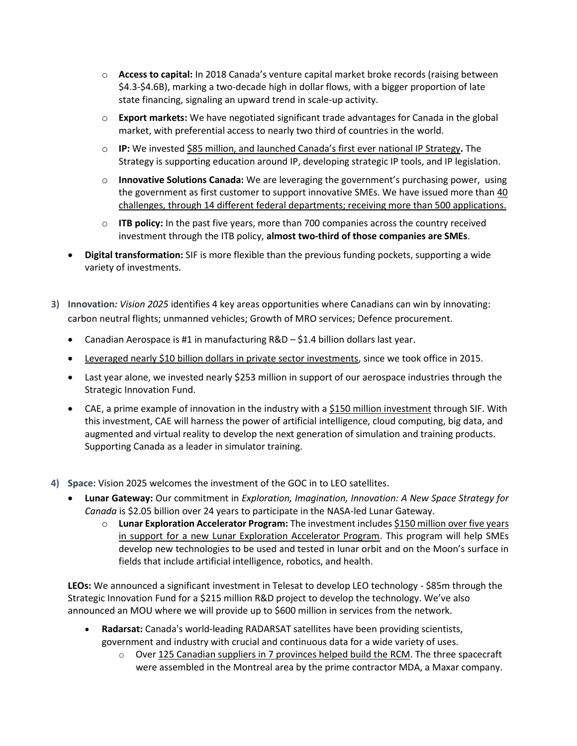- o **Access to capital:** In 2018 Canada's venture capital market broke records (raising between \$4.3-\$4.6B), marking a two-decade high in dollar flows, with a bigger proportion of late state financing, signaling an upward trend in scale-up activity.
- o **Export markets:** We have negotiated significant trade advantages for Canada in the global market, with preferential access to nearly two third of countries in the world.
- o **IP:** We invested \$85 million, and launched Canada's first ever national IP Strategy**.** The Strategy is supporting education around IP, developing strategic IP tools, and IP legislation.
- o **Innovative Solutions Canada:** We are leveraging the government's purchasing power, using the government as first customer to support innovative SMEs. We have issued more than 40 challenges, through 14 different federal departments; receiving more than 500 applications.
- o **ITB policy:** In the past five years, more than 700 companies across the country received investment through the ITB policy, **almost two-third of those companies are SMEs**.
- **Digital transformation:** SIF is more flexible than the previous funding pockets, supporting a wide variety of investments.
- **3) Innovation***: Vision 2025* identifies 4 key areas opportunities where Canadians can win by innovating: carbon neutral flights; unmanned vehicles; Growth of MRO services; Defence procurement.
	- Canadian Aerospace is #1 in manufacturing R&D \$1.4 billion dollars last year.
	- Leveraged nearly \$10 billion dollars in private sector investments, since we took office in 2015.
	- Last year alone, we invested nearly \$253 million in support of our aerospace industries through the Strategic Innovation Fund.
	- CAE, a prime example of innovation in the industry with a \$150 million investment through SIF. With this investment, CAE will harness the power of artificial intelligence, cloud computing, big data, and augmented and virtual reality to develop the next generation of simulation and training products. Supporting Canada as a leader in simulator training.
- **4) Space:** Vision 2025 welcomes the investment of the GOC in to LEO satellites.
	- **Lunar Gateway:** Our commitment in *Exploration, Imagination, Innovation: A New Space Strategy for Canada* is \$2.05 billion over 24 years to participate in the NASA-led Lunar Gateway.
		- o **Lunar Exploration Accelerator Program:** The investment includes \$150 million over five years in support for a new Lunar Exploration Accelerator Program. This program will help SMEs develop new technologies to be used and tested in lunar orbit and on the Moon's surface in fields that include artificial intelligence, robotics, and health.

**LEOs:** We announced a significant investment in Telesat to develop LEO technology - \$85m through the Strategic Innovation Fund for a \$215 million R&D project to develop the technology. We've also announced an MOU where we will provide up to \$600 million in services from the network.

- **Radarsat:** Canada's world-leading RADARSAT satellites have been providing scientists, government and industry with crucial and continuous data for a wide variety of uses.
	- $\circ$  Over 125 Canadian suppliers in 7 provinces helped build the RCM. The three spacecraft were assembled in the Montreal area by the prime contractor MDA, a Maxar company.